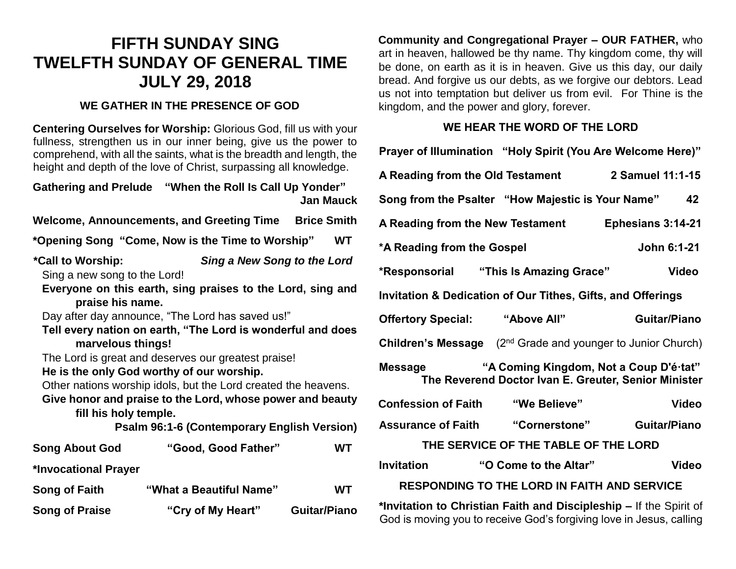## **FIFTH SUNDAY SING TWELFTH SUNDAY OF GENERAL TIME JULY 29, 2018**

## **WE GATHER IN THE PRESENCE OF GOD**

**Centering Ourselves for Worship:** Glorious God, fill us with your fullness, strengthen us in our inner being, give us the power to comprehend, with all the saints, what is the breadth and length, the height and depth of the love of Christ, surpassing all knowledge.

**Gathering and Prelude "When the Roll Is Call Up Yonder" Jan Mauck Welcome, Announcements, and Greeting Time Brice Smith \*Opening Song "Come, Now is the Time to Worship" WT \*Call to Worship:** *Sing a New Song to the Lord*  Sing a new song to the Lord! **Everyone on this earth, sing praises to the Lord, sing and praise his name.** Day after day announce, "The Lord has saved us!" **Tell every nation on earth, "The Lord is wonderful and does marvelous things!** The Lord is great and deserves our greatest praise! **He is the only God worthy of our worship.** Other nations worship idols, but the Lord created the heavens. **Give honor and praise to the Lord, whose power and beauty fill his holy temple. Psalm 96:1-6 (Contemporary English Version) Song About God "Good, Good Father" WT \*Invocational Prayer Song of Faith "What a Beautiful Name" WT Song of Praise "Cry of My Heart" Guitar/Piano**

**Community and Congregational Prayer – OUR FATHER,** who art in heaven, hallowed be thy name. Thy kingdom come, thy will be done, on earth as it is in heaven. Give us this day, our daily bread. And forgive us our debts, as we forgive our debtors. Lead us not into temptation but deliver us from evil. For Thine is the kingdom, and the power and glory, forever.

## **WE HEAR THE WORD OF THE LORD**

| Prayer of Illumination "Holy Spirit (You Are Welcome Here)"                                                                               |                       |                     |
|-------------------------------------------------------------------------------------------------------------------------------------------|-----------------------|---------------------|
| A Reading from the Old Testament                                                                                                          |                       | 2 Samuel 11:1-15    |
| Song from the Psalter "How Majestic is Your Name"                                                                                         |                       | 42                  |
| A Reading from the New Testament<br>Ephesians 3:14-21                                                                                     |                       |                     |
| *A Reading from the Gospel                                                                                                                |                       | John 6:1-21         |
| *Responsorial "This Is Amazing Grace"                                                                                                     |                       | <b>Video</b>        |
| <b>Invitation &amp; Dedication of Our Tithes, Gifts, and Offerings</b>                                                                    |                       |                     |
| Offertory Special: "Above All"                                                                                                            |                       | <b>Guitar/Piano</b> |
| <b>Children's Message</b> $(2^{nd}$ Grade and younger to Junior Church)                                                                   |                       |                     |
| "A Coming Kingdom, Not a Coup D'é tat"<br>Message<br>The Reverend Doctor Ivan E. Greuter, Senior Minister                                 |                       |                     |
| <b>Confession of Faith</b>                                                                                                                | "We Believe"          | <b>Video</b>        |
| <b>Assurance of Faith</b>                                                                                                                 | "Cornerstone"         | <b>Guitar/Piano</b> |
| THE SERVICE OF THE TABLE OF THE LORD                                                                                                      |                       |                     |
| <b>Invitation</b>                                                                                                                         | "O Come to the Altar" | <b>Video</b>        |
| <b>RESPONDING TO THE LORD IN FAITH AND SERVICE</b>                                                                                        |                       |                     |
| *Invitation to Christian Faith and Discipleship - If the Spirit of<br>God is moving you to receive God's forgiving love in Jesus, calling |                       |                     |